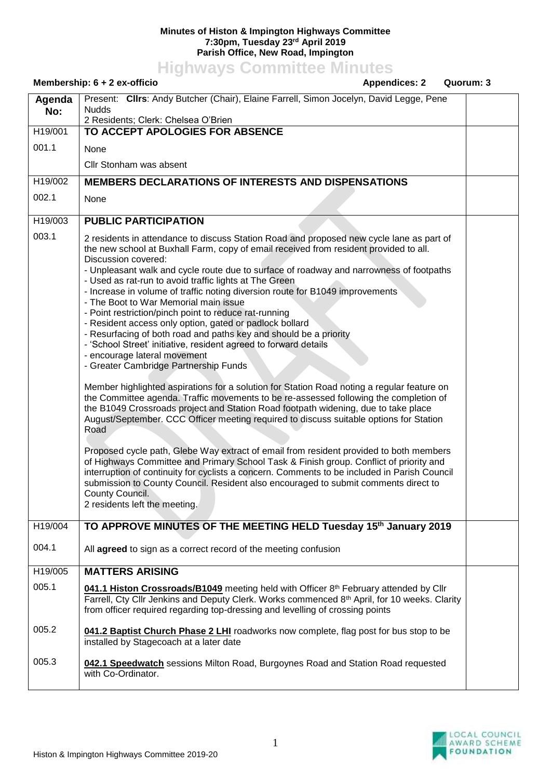## **Minutes of Histon & Impington Highways Committee 7:30pm, Tuesday 23rd April 2019 Parish Office, New Road, Impington**

## **Highways Committee Minutes**

## **Membership: 6 + 2 ex-officio** Appendices: 2 Quorum: 3 **Agenda No:** Present: **Cllrs**: Andy Butcher (Chair), Elaine Farrell, Simon Jocelyn, David Legge, Pene Nudds 2 Residents; Clerk: Chelsea O'Brien H19/001 001.1 **TO ACCEPT APOLOGIES FOR ABSENCE** None Cllr Stonham was absent H19/002 002.1 **MEMBERS DECLARATIONS OF INTERESTS AND DISPENSATIONS** None H19/003 003.1 **PUBLIC PARTICIPATION** 2 residents in attendance to discuss Station Road and proposed new cycle lane as part of the new school at Buxhall Farm, copy of email received from resident provided to all. Discussion covered: - Unpleasant walk and cycle route due to surface of roadway and narrowness of footpaths - Used as rat-run to avoid traffic lights at The Green - Increase in volume of traffic noting diversion route for B1049 improvements - The Boot to War Memorial main issue - Point restriction/pinch point to reduce rat-running - Resident access only option, gated or padlock bollard - Resurfacing of both road and paths key and should be a priority - 'School Street' initiative, resident agreed to forward details - encourage lateral movement - Greater Cambridge Partnership Funds Member highlighted aspirations for a solution for Station Road noting a regular feature on the Committee agenda. Traffic movements to be re-assessed following the completion of the B1049 Crossroads project and Station Road footpath widening, due to take place August/September. CCC Officer meeting required to discuss suitable options for Station Road Proposed cycle path, Glebe Way extract of email from resident provided to both members of Highways Committee and Primary School Task & Finish group. Conflict of priority and interruption of continuity for cyclists a concern. Comments to be included in Parish Council submission to County Council. Resident also encouraged to submit comments direct to County Council. 2 residents left the meeting. H19/004 004.1 **TO APPROVE MINUTES OF THE MEETING HELD Tuesday 15th January 2019** All **agreed** to sign as a correct record of the meeting confusion H19/005 005.1 005.2 005.3 **MATTERS ARISING** 041.1 Histon Crossroads/B1049 meeting held with Officer 8<sup>th</sup> February attended by Cllr Farrell, Cty Cllr Jenkins and Deputy Clerk. Works commenced 8<sup>th</sup> April, for 10 weeks. Clarity from officer required regarding top-dressing and levelling of crossing points **041.2 Baptist Church Phase 2 LHI** roadworks now complete, flag post for bus stop to be installed by Stagecoach at a later date **042.1 Speedwatch** sessions Milton Road, Burgoynes Road and Station Road requested with Co-Ordinator.

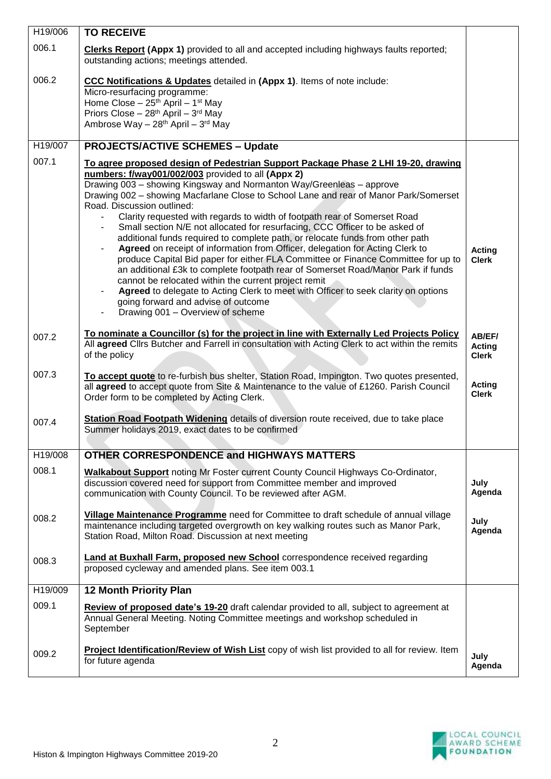| H19/006 | <b>TO RECEIVE</b>                                                                                                                                                                                                                                                                                                                                                                                                                                                                                                                                                                                                                                                                                                                                                                                                                                                                                                                                                                                                                                                                                          |                                         |
|---------|------------------------------------------------------------------------------------------------------------------------------------------------------------------------------------------------------------------------------------------------------------------------------------------------------------------------------------------------------------------------------------------------------------------------------------------------------------------------------------------------------------------------------------------------------------------------------------------------------------------------------------------------------------------------------------------------------------------------------------------------------------------------------------------------------------------------------------------------------------------------------------------------------------------------------------------------------------------------------------------------------------------------------------------------------------------------------------------------------------|-----------------------------------------|
| 006.1   | <b>Clerks Report (Appx 1)</b> provided to all and accepted including highways faults reported;<br>outstanding actions; meetings attended.                                                                                                                                                                                                                                                                                                                                                                                                                                                                                                                                                                                                                                                                                                                                                                                                                                                                                                                                                                  |                                         |
| 006.2   | CCC Notifications & Updates detailed in (Appx 1). Items of note include:<br>Micro-resurfacing programme:<br>Home Close - 25 <sup>th</sup> April - 1 <sup>st</sup> May<br>Priors Close - 28 <sup>th</sup> April - 3 <sup>rd</sup> May<br>Ambrose Way - 28 <sup>th</sup> April - 3 <sup>rd</sup> May                                                                                                                                                                                                                                                                                                                                                                                                                                                                                                                                                                                                                                                                                                                                                                                                         |                                         |
| H19/007 | <b>PROJECTS/ACTIVE SCHEMES - Update</b>                                                                                                                                                                                                                                                                                                                                                                                                                                                                                                                                                                                                                                                                                                                                                                                                                                                                                                                                                                                                                                                                    |                                         |
| 007.1   | To agree proposed design of Pedestrian Support Package Phase 2 LHI 19-20, drawing<br>numbers: f/way001/002/003 provided to all (Appx 2)<br>Drawing 003 - showing Kingsway and Normanton Way/Greenleas - approve<br>Drawing 002 - showing Macfarlane Close to School Lane and rear of Manor Park/Somerset<br>Road. Discussion outlined:<br>Clarity requested with regards to width of footpath rear of Somerset Road<br>Small section N/E not allocated for resurfacing, CCC Officer to be asked of<br>$\blacksquare$<br>additional funds required to complete path, or relocate funds from other path<br>Agreed on receipt of information from Officer, delegation for Acting Clerk to<br>$\blacksquare$<br>produce Capital Bid paper for either FLA Committee or Finance Committee for up to<br>an additional £3k to complete footpath rear of Somerset Road/Manor Park if funds<br>cannot be relocated within the current project remit<br>Agreed to delegate to Acting Clerk to meet with Officer to seek clarity on options<br>going forward and advise of outcome<br>Drawing 001 - Overview of scheme | <b>Acting</b><br><b>Clerk</b>           |
| 007.2   | To nominate a Councillor (s) for the project in line with Externally Led Projects Policy<br>All agreed Clirs Butcher and Farrell in consultation with Acting Clerk to act within the remits<br>of the policy                                                                                                                                                                                                                                                                                                                                                                                                                                                                                                                                                                                                                                                                                                                                                                                                                                                                                               | AB/EF/<br><b>Acting</b><br><b>Clerk</b> |
| 007.3   | To accept quote to re-furbish bus shelter, Station Road, Impington. Two quotes presented,<br>all agreed to accept quote from Site & Maintenance to the value of £1260. Parish Council<br>Order form to be completed by Acting Clerk.                                                                                                                                                                                                                                                                                                                                                                                                                                                                                                                                                                                                                                                                                                                                                                                                                                                                       | <b>Acting</b><br><b>Clerk</b>           |
| 007.4   | Station Road Footpath Widening details of diversion route received, due to take place<br>Summer holidays 2019, exact dates to be confirmed                                                                                                                                                                                                                                                                                                                                                                                                                                                                                                                                                                                                                                                                                                                                                                                                                                                                                                                                                                 |                                         |
| H19/008 | <b>OTHER CORRESPONDENCE and HIGHWAYS MATTERS</b>                                                                                                                                                                                                                                                                                                                                                                                                                                                                                                                                                                                                                                                                                                                                                                                                                                                                                                                                                                                                                                                           |                                         |
| 008.1   | <b>Walkabout Support</b> noting Mr Foster current County Council Highways Co-Ordinator,<br>discussion covered need for support from Committee member and improved<br>communication with County Council. To be reviewed after AGM.                                                                                                                                                                                                                                                                                                                                                                                                                                                                                                                                                                                                                                                                                                                                                                                                                                                                          | July<br>Agenda                          |
| 008.2   | Village Maintenance Programme need for Committee to draft schedule of annual village<br>maintenance including targeted overgrowth on key walking routes such as Manor Park,<br>Station Road, Milton Road. Discussion at next meeting                                                                                                                                                                                                                                                                                                                                                                                                                                                                                                                                                                                                                                                                                                                                                                                                                                                                       | July<br>Agenda                          |
| 008.3   | <b>Land at Buxhall Farm, proposed new School</b> correspondence received regarding<br>proposed cycleway and amended plans. See item 003.1                                                                                                                                                                                                                                                                                                                                                                                                                                                                                                                                                                                                                                                                                                                                                                                                                                                                                                                                                                  |                                         |
| H19/009 | <b>12 Month Priority Plan</b>                                                                                                                                                                                                                                                                                                                                                                                                                                                                                                                                                                                                                                                                                                                                                                                                                                                                                                                                                                                                                                                                              |                                         |
| 009.1   | Review of proposed date's 19-20 draft calendar provided to all, subject to agreement at<br>Annual General Meeting. Noting Committee meetings and workshop scheduled in<br>September                                                                                                                                                                                                                                                                                                                                                                                                                                                                                                                                                                                                                                                                                                                                                                                                                                                                                                                        |                                         |
| 009.2   | Project Identification/Review of Wish List copy of wish list provided to all for review. Item<br>for future agenda                                                                                                                                                                                                                                                                                                                                                                                                                                                                                                                                                                                                                                                                                                                                                                                                                                                                                                                                                                                         | July<br>Agenda                          |